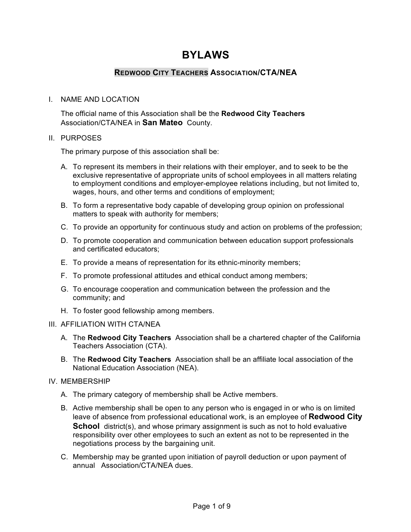# **BYLAWS**

# **REDWOOD CITY TEACHERS ASSOCIATION/CTA/NEA**

## I. NAME AND LOCATION

The official name of this Association shall be the **Redwood City Teachers** Association/CTA/NEA in **San Mateo** County.

## II. PURPOSES

The primary purpose of this association shall be:

- A. To represent its members in their relations with their employer, and to seek to be the exclusive representative of appropriate units of school employees in all matters relating to employment conditions and employer-employee relations including, but not limited to, wages, hours, and other terms and conditions of employment;
- B. To form a representative body capable of developing group opinion on professional matters to speak with authority for members;
- C. To provide an opportunity for continuous study and action on problems of the profession;
- D. To promote cooperation and communication between education support professionals and certificated educators;
- E. To provide a means of representation for its ethnic-minority members;
- F. To promote professional attitudes and ethical conduct among members;
- G. To encourage cooperation and communication between the profession and the community; and
- H. To foster good fellowship among members.

## III. AFFILIATION WITH CTA/NEA

- A. The **Redwood City Teachers** Association shall be a chartered chapter of the California Teachers Association (CTA).
- B. The **Redwood City Teachers** Association shall be an affiliate local association of the National Education Association (NEA).

## IV. MEMBERSHIP

- A. The primary category of membership shall be Active members.
- B. Active membership shall be open to any person who is engaged in or who is on limited leave of absence from professional educational work, is an employee of **Redwood City School** district(s), and whose primary assignment is such as not to hold evaluative responsibility over other employees to such an extent as not to be represented in the negotiations process by the bargaining unit.
- C. Membership may be granted upon initiation of payroll deduction or upon payment of annual Association/CTA/NEA dues.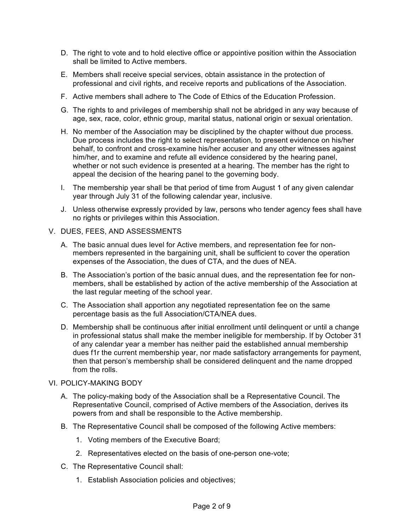- D. The right to vote and to hold elective office or appointive position within the Association shall be limited to Active members.
- E. Members shall receive special services, obtain assistance in the protection of professional and civil rights, and receive reports and publications of the Association.
- F. Active members shall adhere to The Code of Ethics of the Education Profession.
- G. The rights to and privileges of membership shall not be abridged in any way because of age, sex, race, color, ethnic group, marital status, national origin or sexual orientation.
- H. No member of the Association may be disciplined by the chapter without due process. Due process includes the right to select representation, to present evidence on his/her behalf, to confront and cross-examine his/her accuser and any other witnesses against him/her, and to examine and refute all evidence considered by the hearing panel, whether or not such evidence is presented at a hearing. The member has the right to appeal the decision of the hearing panel to the governing body.
- I. The membership year shall be that period of time from August 1 of any given calendar year through July 31 of the following calendar year, inclusive.
- J. Unless otherwise expressly provided by law, persons who tender agency fees shall have no rights or privileges within this Association.
- V. DUES, FEES, AND ASSESSMENTS
	- A. The basic annual dues level for Active members, and representation fee for nonmembers represented in the bargaining unit, shall be sufficient to cover the operation expenses of the Association, the dues of CTA, and the dues of NEA.
	- B. The Association's portion of the basic annual dues, and the representation fee for nonmembers, shall be established by action of the active membership of the Association at the last regular meeting of the school year.
	- C. The Association shall apportion any negotiated representation fee on the same percentage basis as the full Association/CTA/NEA dues.
	- D. Membership shall be continuous after initial enrollment until delinquent or until a change in professional status shall make the member ineligible for membership. If by October 31 of any calendar year a member has neither paid the established annual membership dues f1r the current membership year, nor made satisfactory arrangements for payment, then that person's membership shall be considered delinquent and the name dropped from the rolls.

## VI. POLICY-MAKING BODY

- A. The policy-making body of the Association shall be a Representative Council. The Representative Council, comprised of Active members of the Association, derives its powers from and shall be responsible to the Active membership.
- B. The Representative Council shall be composed of the following Active members:
	- 1. Voting members of the Executive Board;
	- 2. Representatives elected on the basis of one-person one-vote;
- C. The Representative Council shall:
	- 1. Establish Association policies and objectives;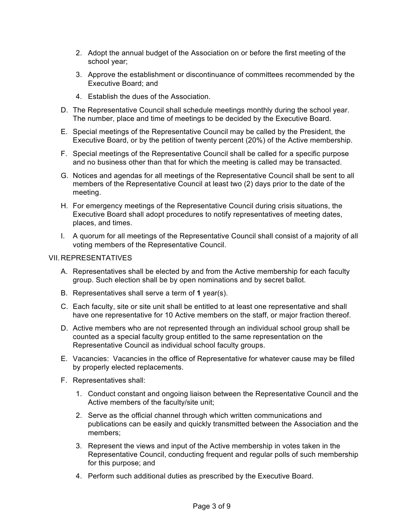- 2. Adopt the annual budget of the Association on or before the first meeting of the school year;
- 3. Approve the establishment or discontinuance of committees recommended by the Executive Board; and
- 4. Establish the dues of the Association.
- D. The Representative Council shall schedule meetings monthly during the school year. The number, place and time of meetings to be decided by the Executive Board.
- E. Special meetings of the Representative Council may be called by the President, the Executive Board, or by the petition of twenty percent (20%) of the Active membership.
- F. Special meetings of the Representative Council shall be called for a specific purpose and no business other than that for which the meeting is called may be transacted.
- G. Notices and agendas for all meetings of the Representative Council shall be sent to all members of the Representative Council at least two (2) days prior to the date of the meeting.
- H. For emergency meetings of the Representative Council during crisis situations, the Executive Board shall adopt procedures to notify representatives of meeting dates, places, and times.
- I. A quorum for all meetings of the Representative Council shall consist of a majority of all voting members of the Representative Council.

## VII.REPRESENTATIVES

- A. Representatives shall be elected by and from the Active membership for each faculty group. Such election shall be by open nominations and by secret ballot.
- B. Representatives shall serve a term of **1** year(s).
- C. Each faculty, site or site unit shall be entitled to at least one representative and shall have one representative for 10 Active members on the staff, or major fraction thereof.
- D. Active members who are not represented through an individual school group shall be counted as a special faculty group entitled to the same representation on the Representative Council as individual school faculty groups.
- E. Vacancies: Vacancies in the office of Representative for whatever cause may be filled by properly elected replacements.
- F. Representatives shall:
	- 1. Conduct constant and ongoing liaison between the Representative Council and the Active members of the faculty/site unit;
	- 2. Serve as the official channel through which written communications and publications can be easily and quickly transmitted between the Association and the members;
	- 3. Represent the views and input of the Active membership in votes taken in the Representative Council, conducting frequent and regular polls of such membership for this purpose; and
	- 4. Perform such additional duties as prescribed by the Executive Board.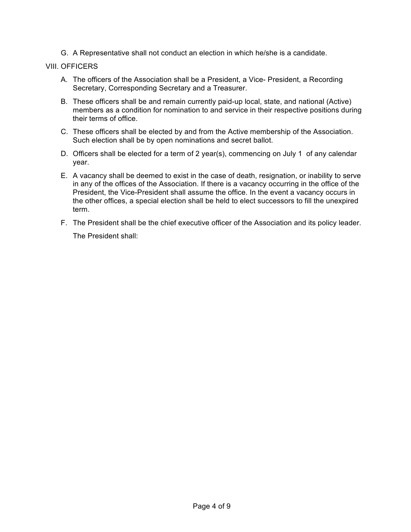G. A Representative shall not conduct an election in which he/she is a candidate.

## VIII. OFFICERS

- A. The officers of the Association shall be a President, a Vice- President, a Recording Secretary, Corresponding Secretary and a Treasurer.
- B. These officers shall be and remain currently paid-up local, state, and national (Active) members as a condition for nomination to and service in their respective positions during their terms of office.
- C. These officers shall be elected by and from the Active membership of the Association. Such election shall be by open nominations and secret ballot.
- D. Officers shall be elected for a term of 2 year(s), commencing on July 1 of any calendar year.
- E. A vacancy shall be deemed to exist in the case of death, resignation, or inability to serve in any of the offices of the Association. If there is a vacancy occurring in the office of the President, the Vice-President shall assume the office. In the event a vacancy occurs in the other offices, a special election shall be held to elect successors to fill the unexpired term.
- F. The President shall be the chief executive officer of the Association and its policy leader.

The President shall: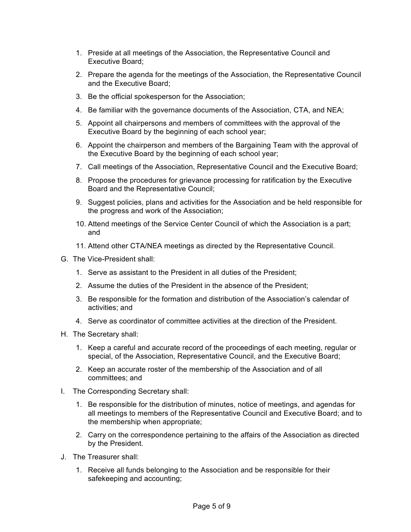- 1. Preside at all meetings of the Association, the Representative Council and Executive Board;
- 2. Prepare the agenda for the meetings of the Association, the Representative Council and the Executive Board;
- 3. Be the official spokesperson for the Association;
- 4. Be familiar with the governance documents of the Association, CTA, and NEA;
- 5. Appoint all chairpersons and members of committees with the approval of the Executive Board by the beginning of each school year;
- 6. Appoint the chairperson and members of the Bargaining Team with the approval of the Executive Board by the beginning of each school year;
- 7. Call meetings of the Association, Representative Council and the Executive Board;
- 8. Propose the procedures for grievance processing for ratification by the Executive Board and the Representative Council;
- 9. Suggest policies, plans and activities for the Association and be held responsible for the progress and work of the Association;
- 10. Attend meetings of the Service Center Council of which the Association is a part; and
- 11. Attend other CTA/NEA meetings as directed by the Representative Council.
- G. The Vice-President shall:
	- 1. Serve as assistant to the President in all duties of the President;
	- 2. Assume the duties of the President in the absence of the President;
	- 3. Be responsible for the formation and distribution of the Association's calendar of activities; and
	- 4. Serve as coordinator of committee activities at the direction of the President.
- H. The Secretary shall:
	- 1. Keep a careful and accurate record of the proceedings of each meeting, regular or special, of the Association, Representative Council, and the Executive Board;
	- 2. Keep an accurate roster of the membership of the Association and of all committees; and
- I. The Corresponding Secretary shall:
	- 1. Be responsible for the distribution of minutes, notice of meetings, and agendas for all meetings to members of the Representative Council and Executive Board; and to the membership when appropriate;
	- 2. Carry on the correspondence pertaining to the affairs of the Association as directed by the President.
- J. The Treasurer shall:
	- 1. Receive all funds belonging to the Association and be responsible for their safekeeping and accounting;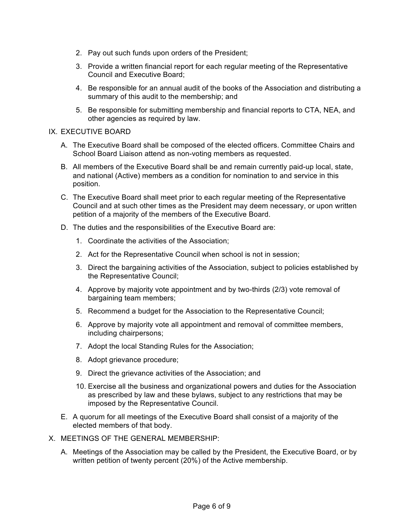- 2. Pay out such funds upon orders of the President;
- 3. Provide a written financial report for each regular meeting of the Representative Council and Executive Board;
- 4. Be responsible for an annual audit of the books of the Association and distributing a summary of this audit to the membership; and
- 5. Be responsible for submitting membership and financial reports to CTA, NEA, and other agencies as required by law.

## IX. EXECUTIVE BOARD

- A. The Executive Board shall be composed of the elected officers. Committee Chairs and School Board Liaison attend as non-voting members as requested.
- B. All members of the Executive Board shall be and remain currently paid-up local, state, and national (Active) members as a condition for nomination to and service in this position.
- C. The Executive Board shall meet prior to each regular meeting of the Representative Council and at such other times as the President may deem necessary, or upon written petition of a majority of the members of the Executive Board.
- D. The duties and the responsibilities of the Executive Board are:
	- 1. Coordinate the activities of the Association;
	- 2. Act for the Representative Council when school is not in session;
	- 3. Direct the bargaining activities of the Association, subject to policies established by the Representative Council;
	- 4. Approve by majority vote appointment and by two-thirds (2/3) vote removal of bargaining team members;
	- 5. Recommend a budget for the Association to the Representative Council;
	- 6. Approve by majority vote all appointment and removal of committee members, including chairpersons;
	- 7. Adopt the local Standing Rules for the Association;
	- 8. Adopt grievance procedure;
	- 9. Direct the grievance activities of the Association; and
	- 10. Exercise all the business and organizational powers and duties for the Association as prescribed by law and these bylaws, subject to any restrictions that may be imposed by the Representative Council.
- E. A quorum for all meetings of the Executive Board shall consist of a majority of the elected members of that body.
- X. MEETINGS OF THE GENERAL MEMBERSHIP:
	- A. Meetings of the Association may be called by the President, the Executive Board, or by written petition of twenty percent (20%) of the Active membership.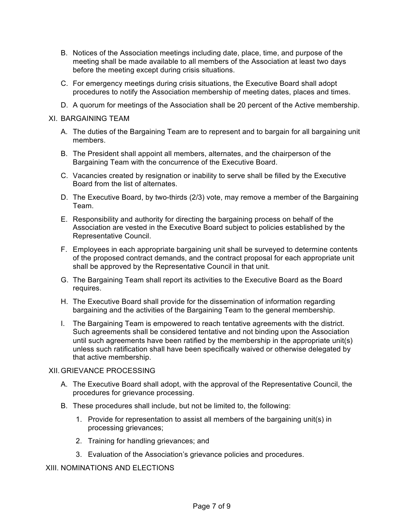- B. Notices of the Association meetings including date, place, time, and purpose of the meeting shall be made available to all members of the Association at least two days before the meeting except during crisis situations.
- C. For emergency meetings during crisis situations, the Executive Board shall adopt procedures to notify the Association membership of meeting dates, places and times.
- D. A quorum for meetings of the Association shall be 20 percent of the Active membership.
- XI. BARGAINING TEAM
	- A. The duties of the Bargaining Team are to represent and to bargain for all bargaining unit members.
	- B. The President shall appoint all members, alternates, and the chairperson of the Bargaining Team with the concurrence of the Executive Board.
	- C. Vacancies created by resignation or inability to serve shall be filled by the Executive Board from the list of alternates.
	- D. The Executive Board, by two-thirds (2/3) vote, may remove a member of the Bargaining Team.
	- E. Responsibility and authority for directing the bargaining process on behalf of the Association are vested in the Executive Board subject to policies established by the Representative Council.
	- F. Employees in each appropriate bargaining unit shall be surveyed to determine contents of the proposed contract demands, and the contract proposal for each appropriate unit shall be approved by the Representative Council in that unit.
	- G. The Bargaining Team shall report its activities to the Executive Board as the Board requires.
	- H. The Executive Board shall provide for the dissemination of information regarding bargaining and the activities of the Bargaining Team to the general membership.
	- I. The Bargaining Team is empowered to reach tentative agreements with the district. Such agreements shall be considered tentative and not binding upon the Association until such agreements have been ratified by the membership in the appropriate unit(s) unless such ratification shall have been specifically waived or otherwise delegated by that active membership.

## XII.GRIEVANCE PROCESSING

- A. The Executive Board shall adopt, with the approval of the Representative Council, the procedures for grievance processing.
- B. These procedures shall include, but not be limited to, the following:
	- 1. Provide for representation to assist all members of the bargaining unit(s) in processing grievances;
	- 2. Training for handling grievances; and
	- 3. Evaluation of the Association's grievance policies and procedures.

## XIII. NOMINATIONS AND ELECTIONS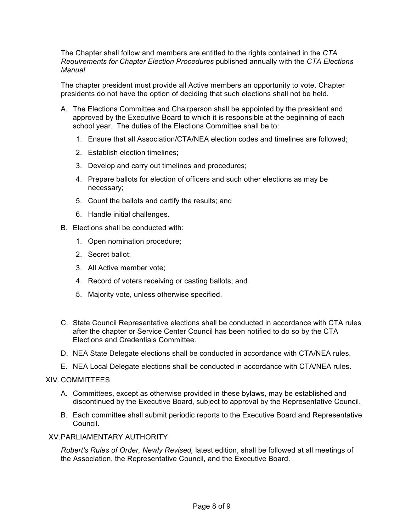The Chapter shall follow and members are entitled to the rights contained in the *CTA Requirements for Chapter Election Procedures* published annually with the *CTA Elections Manual*.

The chapter president must provide all Active members an opportunity to vote. Chapter presidents do not have the option of deciding that such elections shall not be held.

- A. The Elections Committee and Chairperson shall be appointed by the president and approved by the Executive Board to which it is responsible at the beginning of each school year. The duties of the Elections Committee shall be to:
	- 1. Ensure that all Association/CTA/NEA election codes and timelines are followed;
	- 2. Establish election timelines;
	- 3. Develop and carry out timelines and procedures;
	- 4. Prepare ballots for election of officers and such other elections as may be necessary;
	- 5. Count the ballots and certify the results; and
	- 6. Handle initial challenges.
- B. Elections shall be conducted with:
	- 1. Open nomination procedure;
	- 2. Secret ballot;
	- 3. All Active member vote;
	- 4. Record of voters receiving or casting ballots; and
	- 5. Majority vote, unless otherwise specified.
- C. State Council Representative elections shall be conducted in accordance with CTA rules after the chapter or Service Center Council has been notified to do so by the CTA Elections and Credentials Committee.
- D. NEA State Delegate elections shall be conducted in accordance with CTA/NEA rules.
- E. NEA Local Delegate elections shall be conducted in accordance with CTA/NEA rules.

## XIV. COMMITTEES

- A. Committees, except as otherwise provided in these bylaws, may be established and discontinued by the Executive Board, subject to approval by the Representative Council.
- B. Each committee shall submit periodic reports to the Executive Board and Representative Council.

## XV.PARLIAMENTARY AUTHORITY

*Robert's Rules of Order, Newly Revised,* latest edition, shall be followed at all meetings of the Association, the Representative Council, and the Executive Board.